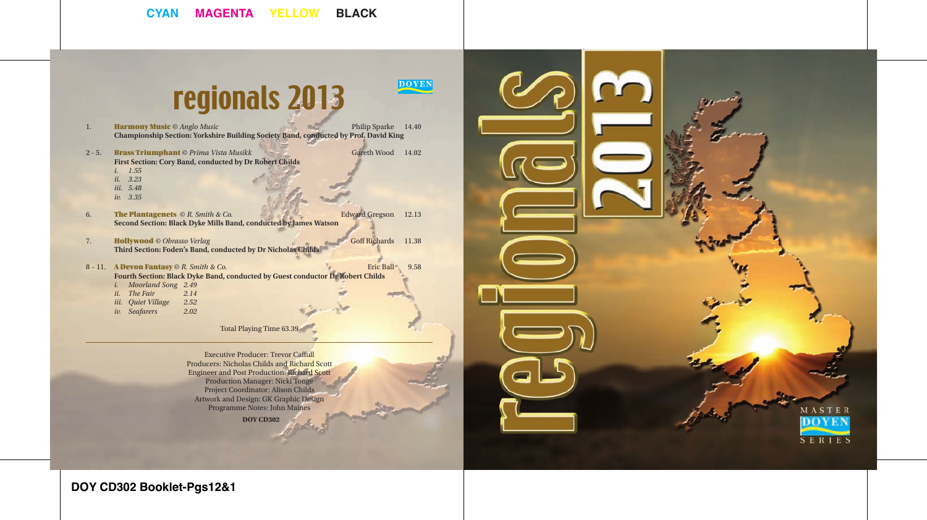# regionals 2013

**DOYEN** 

- 1. **Harmony Music** © *Anglo Music* **Philip Sparke 14.40 Championship Section: Yorkshire Building Society Band, conducted by Prof. David King**
- 2 5. **Brass Triumphant** © *Prima Vista Musikk* Gareth Wood 14.02 **First Section: Cory Band, conducted by Dr Robert Childs**  *i. 1.55*
	- *ii. 3.23*
	- *iii. 5.48*
	- *iv. 3.35*
- 6. The Plantagenets © *R. Smith & Co.* Edward Gregson 12.13 **Second Section: Black Dyke Mills Band, conducted by James Watson**
- 7. **Hollywood** *© Obrasso Verlag* Goff Richards 11.38 **Third Section: Foden's Band, conducted by Dr Nicholas Childs**
- 8 11. **A Devon Fantasy** © *R. Smith & Co.* Eric Ball 9.58 **Fourth Section: Black Dyke Band, conducted by Guest conductor Dr Robert Childs**  *i. Moorland Song 2.49*
	- *ii. The Fair 2.14*
	- *iii. Quiet Village 2.52 iv.* Seafarers

Total Playing Time 63.39

**DOY CD302** Executive Producer: Trevor Caffull Producers: Nicholas Childs and Richard Scott Engineer and Post Production: Richard Scott Production Manager: Nicki Tonge Project Coordinator: Alison Childs Artwork and Design: GK Graphic Design Programme Notes: John Maines



**DOY CD302 Booklet-Pgs12&1**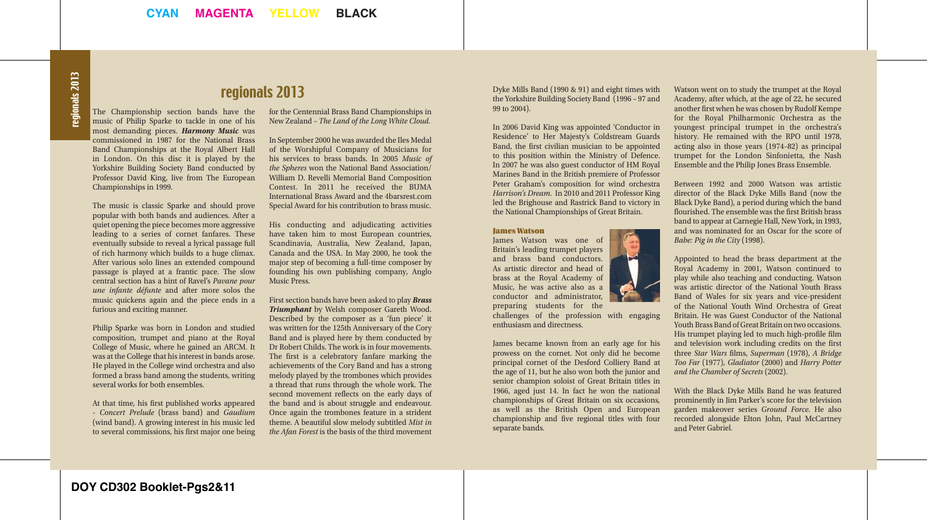### regionals 2013

The Championship section bands have the music of Philip Sparke to tackle in one of his most demanding pieces. *Harmony Music* was commissioned in 1987 for the National Brass Band Championships at the Royal Albert Hall in London. On this disc it is played by the Yorkshire Building Society Band conducted by Professor David King, live from The European Championships in 1999.

The music is classic Sparke and should prove popular with both bands and audiences. After a quiet opening the piece becomes more aggressive leading to a series of cornet fanfares. These eventually subside to reveal a lyrical passage full of rich harmony which builds to a huge climax. After various solo lines an extended compound passage is played at a frantic pace. The slow central section has a hint of Ravel's *Pavane pour une infante défunte* and after more solos the music quickens again and the piece ends in a furious and exciting manner.

Philip Sparke was born in London and studied composition, trumpet and piano at the Royal College of Music, where he gained an ARCM. It was at the College that his interest in bands arose. He played in the College wind orchestra and also formed a brass band among the students, writing several works for both ensembles.

At that time, his first published works appeared - *Concert Prelude* (brass band) and *Gaudium* (wind band). A growing interest in his music led to several commissions, his first major one being for the Centennial Brass Band Championships in New Zealand – *The Land of the Long White Cloud*.

In September 2000 he was awarded the Iles Medal of the Worshipful Company of Musicians for his services to brass bands. In 2005 *Music of the Spheres* won the National Band Association/ William D. Revelli Memorial Band Composition Contest. In 2011 he received the BUMA International Brass Award and the 4barsrest.com Special Award for his contribution to brass music.

His conducting and adjudicating activities have taken him to most European countries, Scandinavia, Australia, New Zealand, Japan, Canada and the USA. In May 2000, he took the major step of becoming a full-time composer by founding his own publishing company, Anglo Music Press.

First section bands have been asked to play *Brass Triumphant* by Welsh composer Gareth Wood. Described by the composer as a 'fun piece' it was written for the 125th Anniversary of the Cory Band and is played here by them conducted by Dr Robert Childs. The work is in four movements. The first is a celebratory fanfare marking the achievements of the Cory Band and has a strong melody played by the trombones which provides a thread that runs through the whole work. The second movement reflects on the early days of the band and is about struggle and endeavour. Once again the trombones feature in a strident theme. A beautiful slow melody subtitled *Mist in the Afan Forest* is the basis of the third movement Dyke Mills Band (1990 & 91) and eight times with the Yorkshire Building Society Band (1996 – 97 and 99 to 2004).

In 2006 David King was appointed 'Conductor in Residence' to Her Majesty's Coldstream Guards Band, the first civilian musician to be appointed to this position within the Ministry of Defence. In 2007 he was also guest conductor of HM Royal Marines Band in the British premiere of Professor Peter Graham's composition for wind orchestra *Harrison's Dream*. In 2010 and 2011 Professor King led the Brighouse and Rastrick Band to victory in the National Championships of Great Britain.

### James Watson

James Watson was one of Britain's leading trumpet players and brass band conductors. As artistic director and head of brass at the Royal Academy of Music, he was active also as a conductor and administrator, preparing students for the

challenges of the profession with engaging enthusiasm and directness.

James became known from an early age for his prowess on the cornet. Not only did he become principal cornet of the Desford Colliery Band at the age of 11, but he also won both the junior and senior champion soloist of Great Britain titles in 1966, aged just 14. In fact he won the national championships of Great Britain on six occasions, as well as the British Open and European championship and five regional titles with four separate bands.



Between 1992 and 2000 Watson was artistic director of the Black Dyke Mills Band (now the Black Dyke Band), a period during which the band flourished. The ensemble was the first British brass band to appear at Carnegie Hall, New York, in 1993, and was nominated for an Oscar for the score of *Babe: Pig in the City* (1998).

Appointed to head the brass department at the Royal Academy in 2001, Watson continued to play while also teaching and conducting. Watson was artistic director of the National Youth Brass Band of Wales for six years and vice-president of the National Youth Wind Orchestra of Great Britain. He was Guest Conductor of the National Youth Brass Band of Great Britain on two occasions. His trumpet playing led to much high-profile film and television work including credits on the first three *Star Wars* films, *Superman* (1978), *A Bridge Too Far* (1977), *Gladiator* (2000) and *Harry Potter and the Chamber of Secrets* (2002).

With the Black Dyke Mills Band he was featured prominently in Jim Parker's score for the television garden makeover series *Ground Force*. He also recorded alongside Elton John, Paul McCartney and Peter Gabriel.

**DOY CD302 Booklet-Pgs2&11**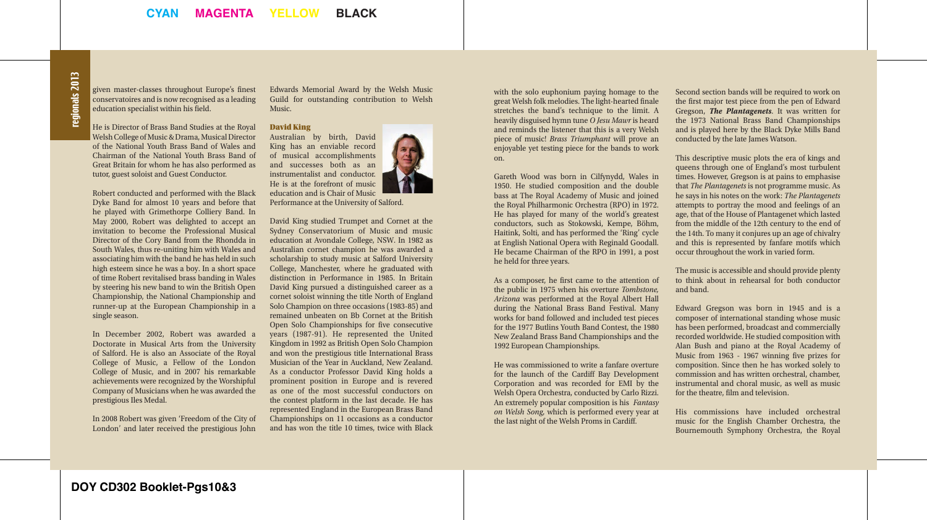given master-classes throughout Europe's finest conservatoires and is now recognised as a leading education specialist within his field.

He is Director of Brass Band Studies at the Royal Welsh College of Music & Drama, Musical Director of the National Youth Brass Band of Wales and Chairman of the National Youth Brass Band of Great Britain for whom he has also performed as tutor, guest soloist and Guest Conductor.

Robert conducted and performed with the Black Dyke Band for almost 10 years and before that he played with Grimethorpe Colliery Band. In May 2000, Robert was delighted to accept an invitation to become the Professional Musical Director of the Cory Band from the Rhondda in South Wales, thus re-uniting him with Wales and associating him with the band he has held in such high esteem since he was a boy. In a short space of time Robert revitalised brass banding in Wales by steering his new band to win the British Open Championship, the National Championship and runner-up at the European Championship in a single season.

In December 2002, Robert was awarded a Doctorate in Musical Arts from the University of Salford. He is also an Associate of the Royal College of Music, a Fellow of the London College of Music, and in 2007 his remarkable achievements were recognized by the Worshipful Company of Musicians when he was awarded the prestigious Iles Medal.

In 2008 Robert was given 'Freedom of the City of London' and later received the prestigious John

Edwards Memorial Award by the Welsh Music Guild for outstanding contribution to Welsh Music.

### David King

Australian by birth, David King has an enviable record of musical accomplishments and successes both as an instrumentalist and conductor. He is at the forefront of music education and is Chair of Music

Performance at the University of Salford.

David King studied Trumpet and Cornet at the Sydney Conservatorium of Music and music education at Avondale College, NSW. In 1982 as Australian cornet champion he was awarded a scholarship to study music at Salford University College, Manchester, where he graduated with distinction in Performance in 1985. In Britain David King pursued a distinguished career as a cornet soloist winning the title North of England Solo Champion on three occasions (1983-85) and remained unbeaten on Bb Cornet at the British Open Solo Championships for five consecutive years (1987-91). He represented the United Kingdom in 1992 as British Open Solo Champion and won the prestigious title International Brass Musician of the Year in Auckland, New Zealand. As a conductor Professor David King holds a prominent position in Europe and is revered as one of the most successful conductors on the contest platform in the last decade. He has represented England in the European Brass Band Championships on 11 occasions as a conductor and has won the title 10 times, twice with Black

with the solo euphonium paying homage to the great Welsh folk melodies. The light-hearted finale stretches the band's technique to the limit. A heavily disguised hymn tune *O Jesu Mawr* is heard and reminds the listener that this is a very Welsh piece of music! *Brass Triumphant* will prove an enjoyable yet testing piece for the bands to work on.

Gareth Wood was born in Cilfynydd, Wales in 1950. He studied composition and the double bass at The Royal Academy of Music and joined the Royal Philharmonic Orchestra (RPO) in 1972. He has played for many of the world's greatest conductors, such as Stokowski, Kempe, Böhm, Haitink, Solti, and has performed the 'Ring' cycle at English National Opera with Reginald Goodall. He became Chairman of the RPO in 1991, a post he held for three years.

As a composer, he first came to the attention of the public in 1975 when his overture *Tombstone, Arizona* was performed at the Royal Albert Hall during the National Brass Band Festival. Many works for band followed and included test pieces for the 1977 Butlins Youth Band Contest, the 1980 New Zealand Brass Band Championships and the 1992 European Championships.

He was commissioned to write a fanfare overture for the launch of the Cardiff Bay Development Corporation and was recorded for EMI by the Welsh Opera Orchestra, conducted by Carlo Rizzi. An extremely popular composition is his *Fantasy on Welsh Song*, which is performed every year at the last night of the Welsh Proms in Cardiff.

Second section bands will be required to work on the first major test piece from the pen of Edward Gregson, *The Plantagenets*. It was written for the 1973 National Brass Band Championships and is played here by the Black Dyke Mills Band conducted by the late James Watson.

This descriptive music plots the era of kings and queens through one of England's most turbulent times. However, Gregson is at pains to emphasise that *The Plantagenets* is not programme music. As he says in his notes on the work: *The Plantagenets* attempts to portray the mood and feelings of an age, that of the House of Plantagenet which lasted from the middle of the 12th century to the end of the 14th. To many it conjures up an age of chivalry and this is represented by fanfare motifs which occur throughout the work in varied form.

The music is accessible and should provide plenty to think about in rehearsal for both conductor and band.

Edward Gregson was born in 1945 and is a composer of international standing whose music has been performed, broadcast and commercially recorded worldwide. He studied composition with Alan Bush and piano at the Royal Academy of Music from 1963 - 1967 winning five prizes for composition. Since then he has worked solely to commission and has written orchestral, chamber, instrumental and choral music, as well as music for the theatre, film and television.

His commissions have included orchestral music for the English Chamber Orchestra, the Bournemouth Symphony Orchestra, the Royal

**DOY CD302 Booklet-Pgs10&3**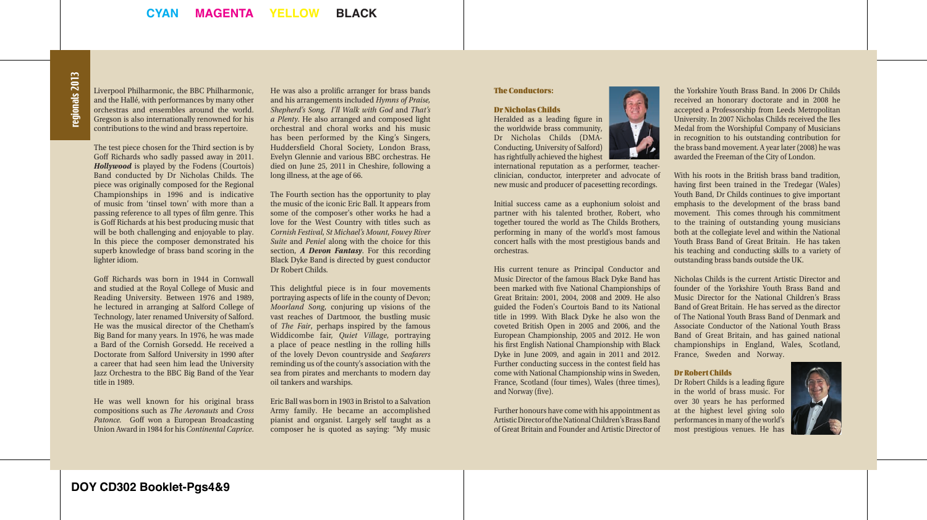## regionals 2013 regionals 2013

Liverpool Philharmonic, the BBC Philharmonic, and the Hallé, with performances by many other orchestras and ensembles around the world. Gregson is also internationally renowned for his contributions to the wind and brass repertoire.

The test piece chosen for the Third section is by Goff Richards who sadly passed away in 2011. *Hollywood* is played by the Fodens (Courtois) Band conducted by Dr Nicholas Childs. The piece was originally composed for the Regional Championships in 1996 and is indicative of music from 'tinsel town' with more than a passing reference to all types of film genre. This is Goff Richards at his best producing music that will be both challenging and enjoyable to play. In this piece the composer demonstrated his superb knowledge of brass band scoring in the lighter idiom.

Goff Richards was born in 1944 in Cornwall and studied at the Royal College of Music and Reading University. Between 1976 and 1989, he lectured in arranging at Salford College of Technology, later renamed University of Salford. He was the musical director of the Chetham's Big Band for many years. In 1976, he was made a Bard of the Cornish Gorsedd. He received a Doctorate from Salford University in 1990 after a career that had seen him lead the University Jazz Orchestra to the BBC Big Band of the Year title in 1989.

He was well known for his original brass compositions such as *The Aeronauts* and *Cross Patonce.* Goff won a European Broadcasting Union Award in 1984 for his *Continental Caprice*. He was also a prolific arranger for brass bands and his arrangements included *Hymns of Praise, Shepherd's Song, I'll Walk with God* and *That's a Plenty*. He also arranged and composed light orchestral and choral works and his music has been performed by the King's Singers, Huddersfield Choral Society, London Brass, Evelyn Glennie and various BBC orchestras. He died on June 25, 2011 in Cheshire, following a long illness, at the age of 66.

The Fourth section has the opportunity to play the music of the iconic Eric Ball. It appears from some of the composer's other works he had a love for the West Country with titles such as *Cornish Festival*, *St Michael's Mount*, *Fowey River Suite* and *Peniel* along with the choice for this section, *A Devon Fantasy*. For this recording Black Dyke Band is directed by guest conductor Dr Robert Childs.

This delightful piece is in four movements portraying aspects of life in the county of Devon; *Moorland Song*, conjuring up visions of the vast reaches of Dartmoor, the bustling music of *The Fair*, perhaps inspired by the famous Widdicombe fair, *Quiet Village*, portraying a place of peace nestling in the rolling hills of the lovely Devon countryside and *Seafarers*  reminding us of the county's association with the sea from pirates and merchants to modern day oil tankers and warships.

Eric Ball was born in 1903 in Bristol to a Salvation Army family. He became an accomplished pianist and organist. Largely self taught as a composer he is quoted as saying: "My music

### The Conductors:

### Dr Nicholas Childs

Heralded as a leading figure in the worldwide brass community, Dr Nicholas Childs (DMA-Conducting, University of Salford) has rightfully achieved the highest

international reputation as a performer, teacherclinician, conductor, interpreter and advocate of new music and producer of pacesetting recordings.

Initial success came as a euphonium soloist and partner with his talented brother, Robert, who together toured the world as The Childs Brothers, performing in many of the world's most famous concert halls with the most prestigious bands and orchestras.

His current tenure as Principal Conductor and Music Director of the famous Black Dyke Band has been marked with five National Championships of Great Britain: 2001, 2004, 2008 and 2009. He also guided the Foden's Courtois Band to its National title in 1999. With Black Dyke he also won the coveted British Open in 2005 and 2006, and the European Championship, 2005 and 2012. He won his first English National Championship with Black Dyke in June 2009, and again in 2011 and 2012. Further conducting success in the contest field has come with National Championship wins in Sweden, France, Scotland (four times), Wales (three times), and Norway (five).

Further honours have come with his appointment as Artistic Director of the National Children's Brass Band of Great Britain and Founder and Artistic Director of the Yorkshire Youth Brass Band. In 2006 Dr Childs received an honorary doctorate and in 2008 he accepted a Professorship from Leeds Metropolitan University. In 2007 Nicholas Childs received the Iles Medal from the Worshipful Company of Musicians in recognition to his outstanding contribution for the brass band movement. A year later (2008) he was awarded the Freeman of the City of London.

With his roots in the British brass band tradition, having first been trained in the Tredegar (Wales) Youth Band, Dr Childs continues to give important emphasis to the development of the brass band movement. This comes through his commitment to the training of outstanding young musicians both at the collegiate level and within the National Youth Brass Band of Great Britain. He has taken his teaching and conducting skills to a variety of outstanding brass bands outside the UK.

Nicholas Childs is the current Artistic Director and founder of the Yorkshire Youth Brass Band and Music Director for the National Children's Brass Band of Great Britain. He has served as the director of The National Youth Brass Band of Denmark and Associate Conductor of the National Youth Brass Band of Great Britain, and has gained national championships in England, Wales, Scotland, France, Sweden and Norway.

#### Dr Robert Childs

Dr Robert Childs is a leading figure in the world of brass music. For over 30 years he has performed at the highest level giving solo performances in many of the world's most prestigious venues. He has

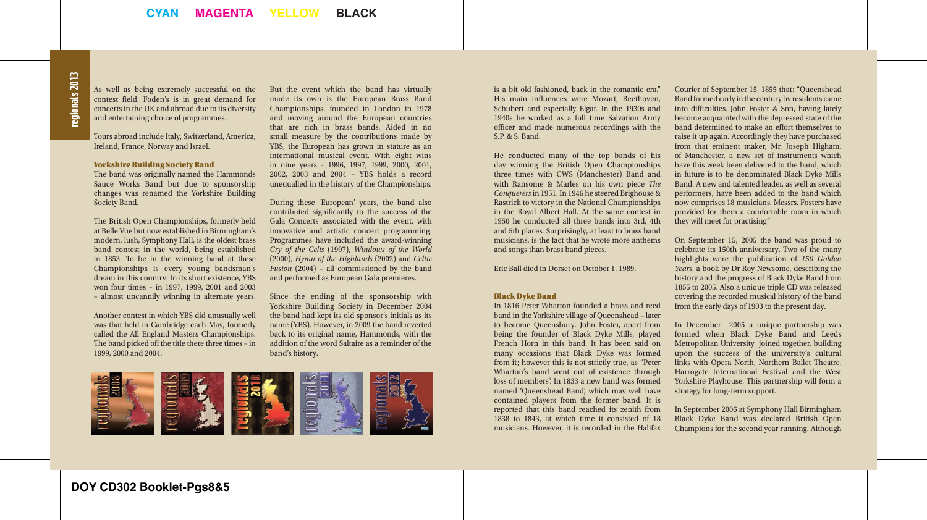### egionals 2013 regionals 2013

As well as being extremely successful on the contest field, Foden's is in great demand for concerts in the UK and abroad due to its diversity and entertaining choice of programmes.

Tours abroad include Italy, Switzerland, America, Ireland, France, Norway and Israel.

#### Yorkshire Building Society Band

The band was originally named the Hammonds Sauce Works Band but due to sponsorship changes was renamed the Yorkshire Building Society Band.

The British Open Championships, formerly held at Belle Vue but now established in Birmingham's modern, lush, Symphony Hall, is the oldest brass band contest in the world, being established in 1853. To be in the winning band at these Championships is every young bandsman's dream in this country. In its short existence, YBS won four times – in 1997, 1999, 2001 and 2003 – almost uncannily winning in alternate years.

Another contest in which YBS did unusually well was that held in Cambridge each May, formerly called the All England Masters Championships. The band picked off the title there three times – in 1999, 2000 and 2004.

But the event which the band has virtually made its own is the European Brass Band Championships, founded in London in 1978 and moving around the European countries that are rich in brass bands. Aided in no small measure by the contributions made by YBS, the European has grown in stature as an international musical event. With eight wins in nine years - 1996, 1997, 1999, 2000, 2001, 2002, 2003 and 2004 – YBS holds a record unequalled in the history of the Championships.

During these 'European' years, the band also contributed significantly to the success of the Gala Concerts associated with the event, with innovative and artistic concert programming. Programmes have included the award-winning *Cry of the Celts* (1997), *Windows of the World* (2000), *Hymn of the Highlands* (2002) and *Celtic Fusion* (2004) – all commissioned by the band and performed as European Gala premieres.

Since the ending of the sponsorship with Yorkshire Building Society in December 2004 the band had kept its old sponsor's initials as its name (YBS). However, in 2009 the band reverted back to its original name, Hammonds, with the addition of the word Saltaire as a reminder of the band's history.



is a bit old fashioned, back in the romantic era." His main influences were Mozart, Beethoven, Schubert and especially Elgar. In the 1930s and 1940s he worked as a full time Salvation Army officer and made numerous recordings with the S.P. & S. Band.

He conducted many of the top bands of his day winning the British Open Championships three times with CWS (Manchester) Band and with Ransome & Marles on his own piece *The Conquerers* in 1951. In 1946 he steered Brighouse & Rastrick to victory in the National Championships in the Royal Albert Hall. At the same contest in 1950 he conducted all three bands into 3rd, 4th and 5th places. Surprisingly, at least to brass band musicians, is the fact that he wrote more anthems and songs than brass band pieces.

Eric Ball died in Dorset on October 1, 1989.

### Black Dyke Band

In 1816 Peter Wharton founded a brass and reed band in the Yorkshire village of Queenshead – later to become Queensbury. John Foster, apart from being the founder of Black Dyke Mills, played French Horn in this band. It has been said on many occasions that Black Dyke was formed from it; however this is not strictly true, as "Peter Wharton's band went out of existence through loss of members". In 1833 a new band was formed named 'Queenshead Band', which may well have contained players from the former band. It is reported that this band reached its zenith from 1838 to 1843, at which time it consisted of 18 musicians. However, it is recorded in the Halifax Courier of September 15, 1855 that: "Queenshead Band formed early in the century by residents came into difficulties. John Foster & Son, having lately become acquainted with the depressed state of the band determined to make an effort themselves to raise it up again. Accordingly they have purchased from that eminent maker, Mr. Joseph Higham, of Manchester, a new set of instruments which have this week been delivered to the band, which in future is to be denominated Black Dyke Mills Band. A new and talented leader, as well as several performers, have been added to the band which now comprises 18 musicians. Messrs. Fosters have provided for them a comfortable room in which they will meet for practising"

On September 15, 2005 the band was proud to celebrate its 150th anniversary. Two of the many highlights were the publication of *150 Golden Years*, a book by Dr Roy Newsome, describing the history and the progress of Black Dyke Band from 1855 to 2005. Also a unique triple CD was released covering the recorded musical history of the band from the early days of 1903 to the present day.

In December 2005 a unique partnership was formed when Black Dyke Band and Leeds Metropolitan University joined together, building upon the success of the university's cultural links with Opera North, Northern Ballet Theatre, Harrogate International Festival and the West Yorkshire Playhouse. This partnership will form a strategy for long-term support.

In September 2006 at Symphony Hall Birmingham Black Dyke Band was declared British Open Champions for the second year running. Although

**DOY CD302 Booklet-Pgs8&5**